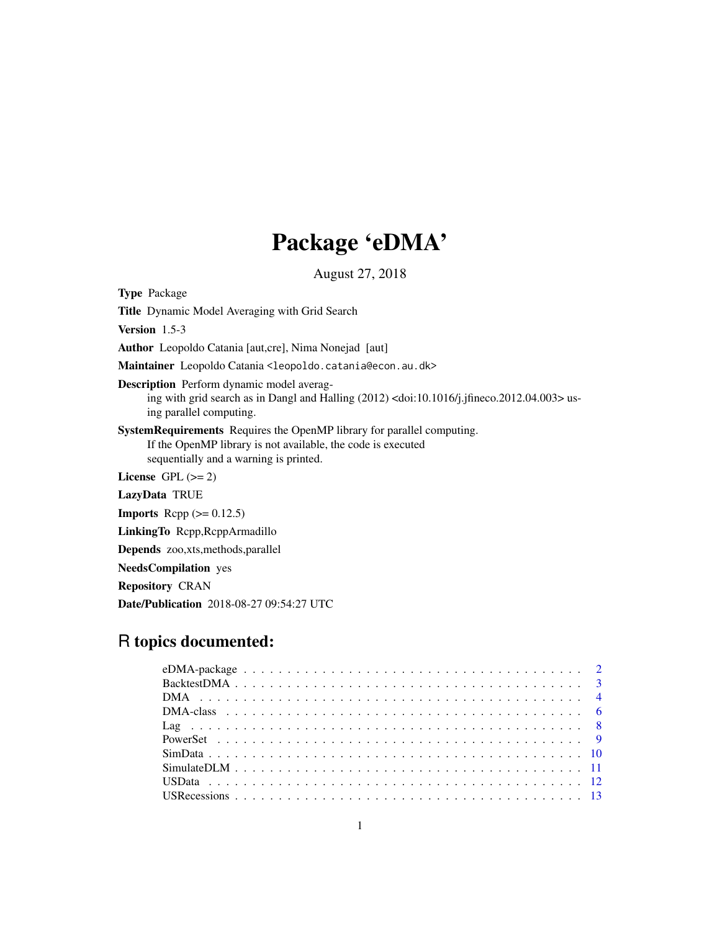## Package 'eDMA'

August 27, 2018

<span id="page-0-0"></span>Type Package Title Dynamic Model Averaging with Grid Search Version 1.5-3 Author Leopoldo Catania [aut,cre], Nima Nonejad [aut] Maintainer Leopoldo Catania <leopoldo.catania@econ.au.dk> Description Perform dynamic model averaging with grid search as in Dangl and Halling (2012) <doi:10.1016/j.jfineco.2012.04.003> using parallel computing. SystemRequirements Requires the OpenMP library for parallel computing. If the OpenMP library is not available, the code is executed sequentially and a warning is printed. License GPL  $(>= 2)$ LazyData TRUE **Imports** Rcpp  $(>= 0.12.5)$ LinkingTo Rcpp,RcppArmadillo Depends zoo,xts,methods,parallel NeedsCompilation yes Repository CRAN Date/Publication 2018-08-27 09:54:27 UTC

### R topics documented: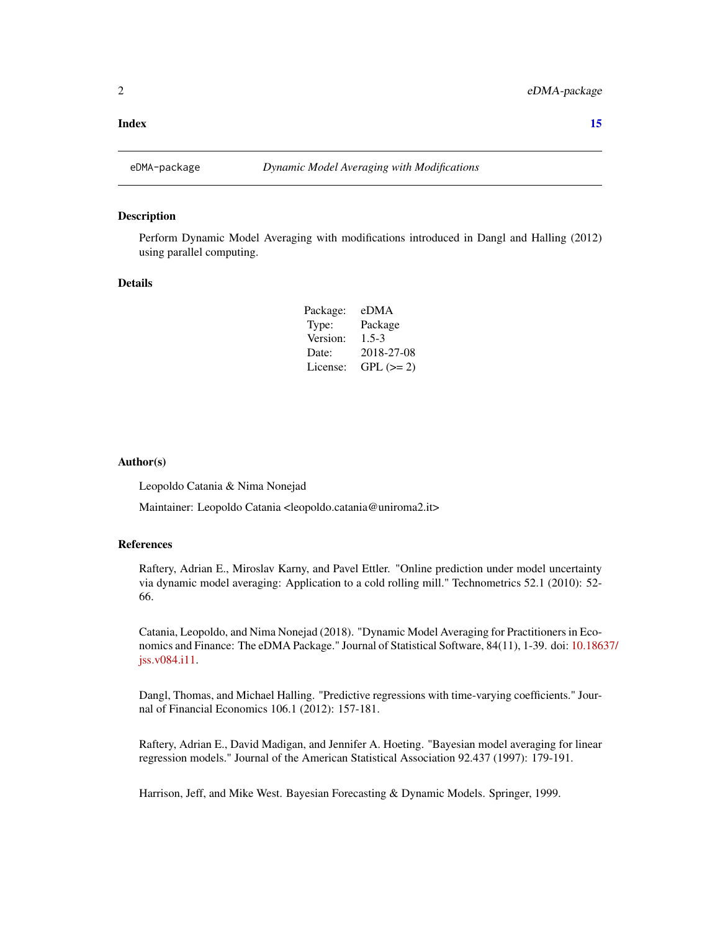#### <span id="page-1-0"></span>**Index** [15](#page-14-0)

#### Description

Perform Dynamic Model Averaging with modifications introduced in Dangl and Halling (2012) using parallel computing.

#### Details

| Package: | eDMA       |
|----------|------------|
| Type:    | Package    |
| Version: | $1.5 - 3$  |
| Date:    | 2018-27-08 |
| License: | $GPL (=2)$ |

#### Author(s)

Leopoldo Catania & Nima Nonejad

Maintainer: Leopoldo Catania <leopoldo.catania@uniroma2.it>

#### References

Raftery, Adrian E., Miroslav Karny, and Pavel Ettler. "Online prediction under model uncertainty via dynamic model averaging: Application to a cold rolling mill." Technometrics 52.1 (2010): 52- 66.

Catania, Leopoldo, and Nima Nonejad (2018). "Dynamic Model Averaging for Practitioners in Economics and Finance: The eDMA Package." Journal of Statistical Software, 84(11), 1-39. doi: [10.186](http://doi.org/10.18637/jss.v084.i11)37/ [jss.v084.i11.](http://doi.org/10.18637/jss.v084.i11)

Dangl, Thomas, and Michael Halling. "Predictive regressions with time-varying coefficients." Journal of Financial Economics 106.1 (2012): 157-181.

Raftery, Adrian E., David Madigan, and Jennifer A. Hoeting. "Bayesian model averaging for linear regression models." Journal of the American Statistical Association 92.437 (1997): 179-191.

Harrison, Jeff, and Mike West. Bayesian Forecasting & Dynamic Models. Springer, 1999.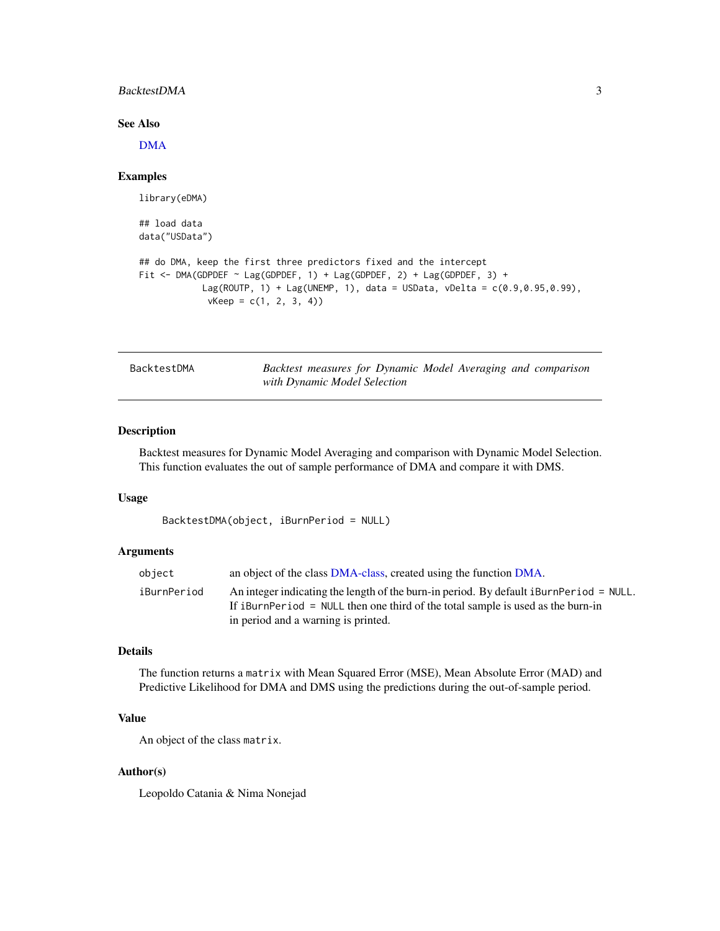#### <span id="page-2-0"></span>BacktestDMA 3

#### See Also

[DMA](#page-3-1)

#### Examples

```
library(eDMA)
## load data
data("USData")
## do DMA, keep the first three predictors fixed and the intercept
Fit <- DMA(GDPDEF ~ Lag(GDPDEF, 1) + Lag(GDPDEF, 2) + Lag(GDPDEF, 3) +
            Lag(ROUTP, 1) + Lag(UNEMP, 1), data = USData, vDelta = c(0.9, 0.95, 0.99),
             vKeep = c(1, 2, 3, 4)
```
Backtest measures for Dynamic Model Averaging and comparison *with Dynamic Model Selection*

#### Description

Backtest measures for Dynamic Model Averaging and comparison with Dynamic Model Selection. This function evaluates the out of sample performance of DMA and compare it with DMS.

#### Usage

```
BacktestDMA(object, iBurnPeriod = NULL)
```
#### Arguments

| object      | an object of the class DMA-class, created using the function DMA.                      |
|-------------|----------------------------------------------------------------------------------------|
| iBurnPeriod | An integer indicating the length of the burn-in period. By default iBurnPeriod = NULL. |
|             | If iBurnPeriod = NULL then one third of the total sample is used as the burn-in        |
|             | in period and a warning is printed.                                                    |

#### Details

The function returns a matrix with Mean Squared Error (MSE), Mean Absolute Error (MAD) and Predictive Likelihood for DMA and DMS using the predictions during the out-of-sample period.

#### Value

An object of the class matrix.

#### Author(s)

Leopoldo Catania & Nima Nonejad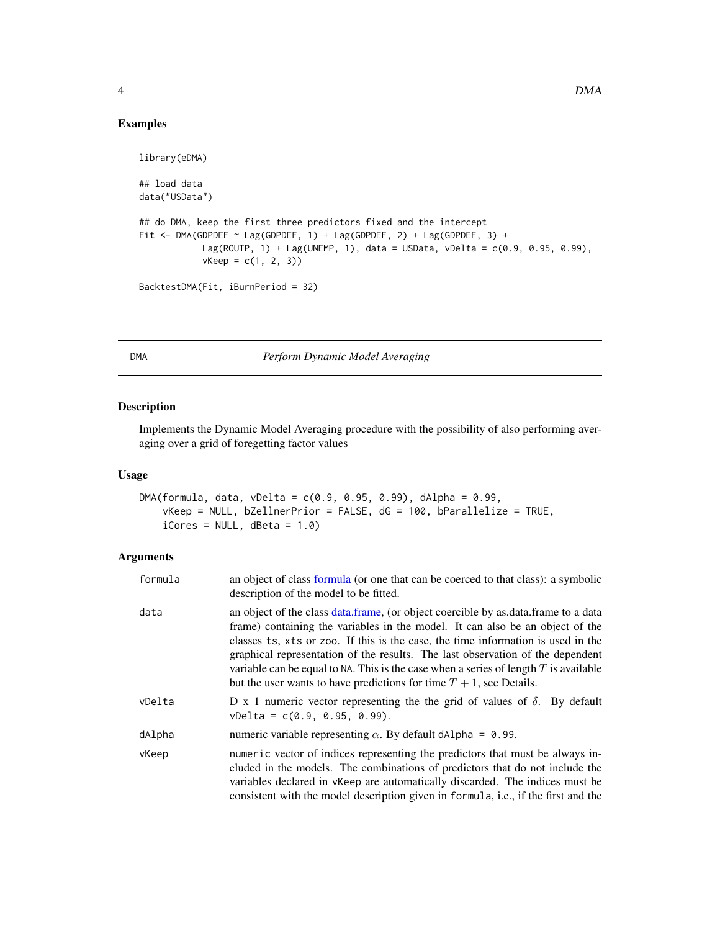#### Examples

```
library(eDMA)
## load data
data("USData")
## do DMA, keep the first three predictors fixed and the intercept
Fit <- DMA(GDPDEF ~ Lag(GDPDEF, 1) + Lag(GDPDEF, 2) + Lag(GDPDEF, 3) +
           Lag(ROUTP, 1) + Lag(UNEMP, 1), data = USData, vDelta = c(0.9, 0.95, 0.99),
            vKeep = c(1, 2, 3)BacktestDMA(Fit, iBurnPeriod = 32)
```
<span id="page-3-1"></span>DMA *Perform Dynamic Model Averaging*

#### Description

Implements the Dynamic Model Averaging procedure with the possibility of also performing averaging over a grid of foregetting factor values

#### Usage

```
DMA(formula, data, vDelta = c(0.9, 0.95, 0.99), dAlpha = 0.99,
    vKeep = NULL, bZellnerPrior = FALSE, dG = 100, bParallelize = TRUE,
    i\text{Cores} = \text{NULL}, \text{dbeta} = 1.0
```
#### Arguments

| formula | an object of class formula (or one that can be coerced to that class): a symbolic<br>description of the model to be fitted.                                                                                                                                                                                                                                                                                                                                                                                   |
|---------|---------------------------------------------------------------------------------------------------------------------------------------------------------------------------------------------------------------------------------------------------------------------------------------------------------------------------------------------------------------------------------------------------------------------------------------------------------------------------------------------------------------|
| data    | an object of the class data.frame, (or object coercible by as.data.frame to a data<br>frame) containing the variables in the model. It can also be an object of the<br>classes ts, xts or zoo. If this is the case, the time information is used in the<br>graphical representation of the results. The last observation of the dependent<br>variable can be equal to NA. This is the case when a series of length $T$ is available<br>but the user wants to have predictions for time $T + 1$ , see Details. |
| vDelta  | D x 1 numeric vector representing the the grid of values of $\delta$ . By default<br>$vDelta = c(0.9, 0.95, 0.99).$                                                                                                                                                                                                                                                                                                                                                                                           |
| dAlpha  | numeric variable representing $\alpha$ . By default dA1pha = 0.99.                                                                                                                                                                                                                                                                                                                                                                                                                                            |
| vKeep   | numeric vector of indices representing the predictors that must be always in-<br>cluded in the models. The combinations of predictors that do not include the<br>variables declared in $v$ Keep are automatically discarded. The indices must be<br>consistent with the model description given in formula, i.e., if the first and the                                                                                                                                                                        |

<span id="page-3-0"></span>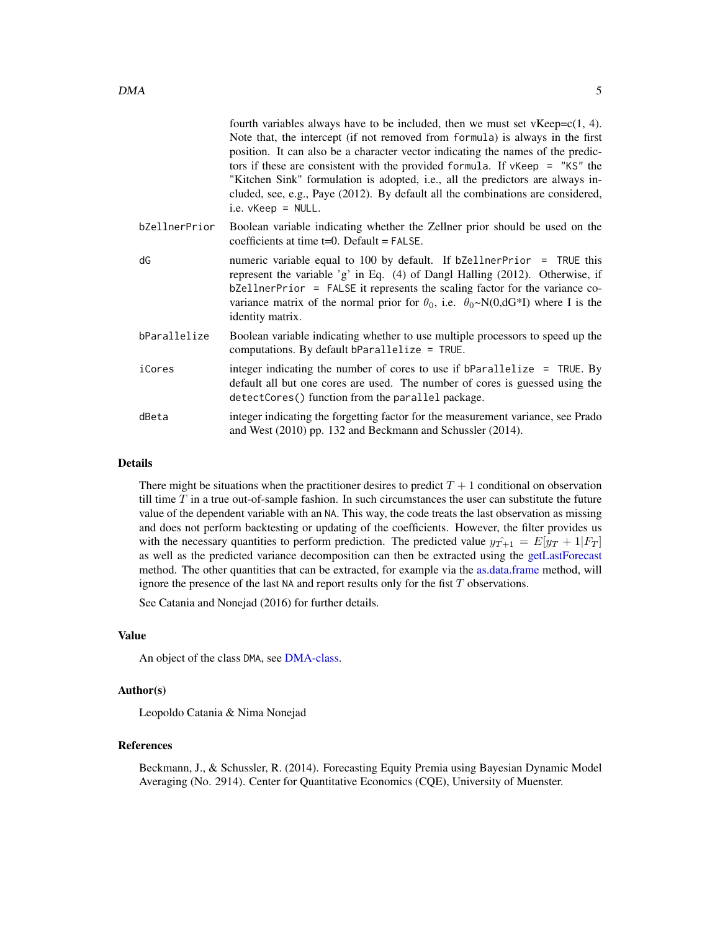<span id="page-4-0"></span>

|               | fourth variables always have to be included, then we must set $vKeep=c(1, 4)$ .<br>Note that, the intercept (if not removed from formula) is always in the first<br>position. It can also be a character vector indicating the names of the predic-<br>tors if these are consistent with the provided formula. If $v$ Keep = "KS" the<br>"Kitchen Sink" formulation is adopted, i.e., all the predictors are always in-<br>cluded, see, e.g., Paye (2012). By default all the combinations are considered,<br>i.e. $v$ Keep = NULL. |
|---------------|-------------------------------------------------------------------------------------------------------------------------------------------------------------------------------------------------------------------------------------------------------------------------------------------------------------------------------------------------------------------------------------------------------------------------------------------------------------------------------------------------------------------------------------|
| bZellnerPrior | Boolean variable indicating whether the Zellner prior should be used on the<br>coefficients at time $t=0$ . Default = FALSE.                                                                                                                                                                                                                                                                                                                                                                                                        |
| dG            | numeric variable equal to 100 by default. If bZellnerPrior = TRUE this<br>represent the variable 'g' in Eq. (4) of Dangl Halling (2012). Otherwise, if<br>bZellnerPrior = FALSE it represents the scaling factor for the variance co-<br>variance matrix of the normal prior for $\theta_0$ , i.e. $\theta_0 \sim N(0, dG^*I)$ where I is the<br>identity matrix.                                                                                                                                                                   |
| bParallelize  | Boolean variable indicating whether to use multiple processors to speed up the<br>computations. By default bParallelize = $TRUE$ .                                                                                                                                                                                                                                                                                                                                                                                                  |
| iCores        | integer indicating the number of cores to use if bParallelize $=$ TRUE. By<br>default all but one cores are used. The number of cores is guessed using the<br>detectCores() function from the parallel package.                                                                                                                                                                                                                                                                                                                     |
| dBeta         | integer indicating the forgetting factor for the measurement variance, see Prado<br>and West (2010) pp. 132 and Beckmann and Schussler (2014).                                                                                                                                                                                                                                                                                                                                                                                      |
|               |                                                                                                                                                                                                                                                                                                                                                                                                                                                                                                                                     |

#### Details

There might be situations when the practitioner desires to predict  $T + 1$  conditional on observation till time  $T$  in a true out-of-sample fashion. In such circumstances the user can substitute the future value of the dependent variable with an NA. This way, the code treats the last observation as missing and does not perform backtesting or updating of the coefficients. However, the filter provides us with the necessary quantities to perform prediction. The predicted value  $y_{T+1} = E[y_T + 1|F_T]$ as well as the predicted variance decomposition can then be extracted using the [getLastForecast](#page-5-2) method. The other quantities that can be extracted, for example via the [as.data.frame](#page-0-0) method, will ignore the presence of the last NA and report results only for the fist  $T$  observations.

See Catania and Nonejad (2016) for further details.

#### Value

An object of the class DMA, see [DMA-class.](#page-5-1)

#### Author(s)

Leopoldo Catania & Nima Nonejad

#### References

Beckmann, J., & Schussler, R. (2014). Forecasting Equity Premia using Bayesian Dynamic Model Averaging (No. 2914). Center for Quantitative Economics (CQE), University of Muenster.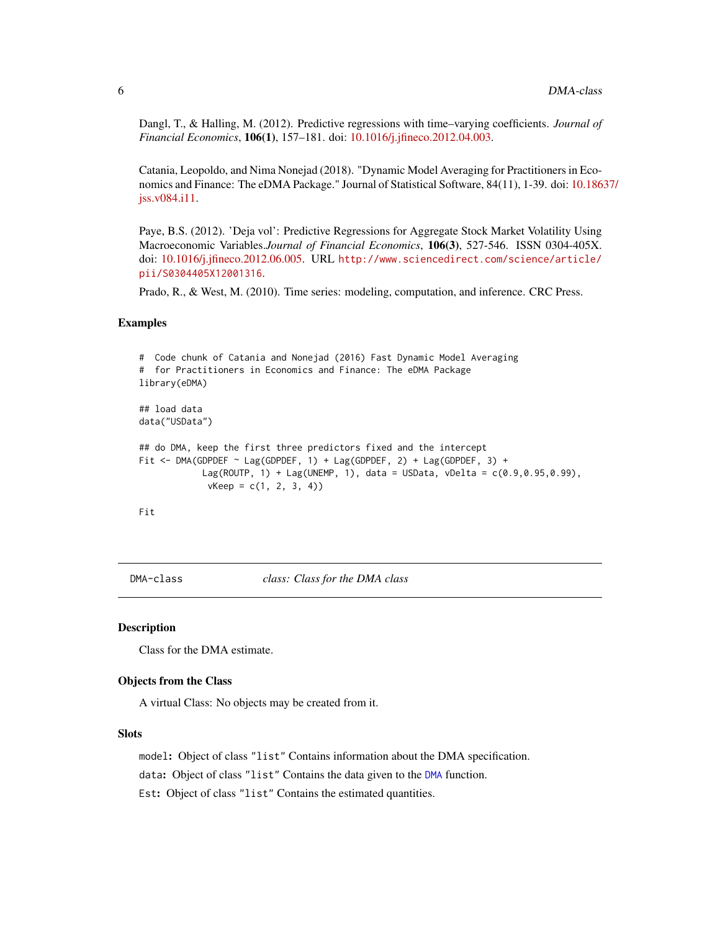<span id="page-5-0"></span>Dangl, T., & Halling, M. (2012). Predictive regressions with time–varying coefficients. *Journal of Financial Economics*, 106(1), 157–181. doi: [10.1016/j.jfineco.2012.04.003.](http://doi.org/10.1016/j.jfineco.2012.04.003)

Catania, Leopoldo, and Nima Nonejad (2018). "Dynamic Model Averaging for Practitioners in Economics and Finance: The eDMA Package." Journal of Statistical Software, 84(11), 1-39. doi: [10.186](http://doi.org/10.18637/jss.v084.i11)37/ [jss.v084.i11.](http://doi.org/10.18637/jss.v084.i11)

Paye, B.S. (2012). 'Deja vol': Predictive Regressions for Aggregate Stock Market Volatility Using Macroeconomic Variables.*Journal of Financial Economics*, 106(3), 527-546. ISSN 0304-405X. doi: [10.1016/j.jfineco.2012.06.005.](http://doi.org/10.1016/j.jfineco.2012.06.005) URL [http://www.sciencedirect.com/science/article/](http://www.sciencedirect.com/science/article/pii/S0304405X12001316) [pii/S0304405X12001316](http://www.sciencedirect.com/science/article/pii/S0304405X12001316).

Prado, R., & West, M. (2010). Time series: modeling, computation, and inference. CRC Press.

#### Examples

```
# Code chunk of Catania and Nonejad (2016) Fast Dynamic Model Averaging
# for Practitioners in Economics and Finance: The eDMA Package
library(eDMA)
## load data
data("USData")
## do DMA, keep the first three predictors fixed and the intercept
Fit <- DMA(GDPDEF ~ Lag(GDPDEF, 1) + Lag(GDPDEF, 2) + Lag(GDPDEF, 3) +
            Lag(ROUTP, 1) + Lag(UNEMP, 1), data = USData, vDelta = c(0.9,0.95,0.99),
            vKeep = c(1, 2, 3, 4)
```
Fit

<span id="page-5-1"></span>

DMA-class *class: Class for the DMA class*

#### <span id="page-5-2"></span>Description

Class for the DMA estimate.

#### Objects from the Class

A virtual Class: No objects may be created from it.

#### Slots

model: Object of class "list" Contains information about the DMA specification.

data: Object of class "list" Contains the data given to the [DMA](#page-3-1) function.

Est: Object of class "list" Contains the estimated quantities.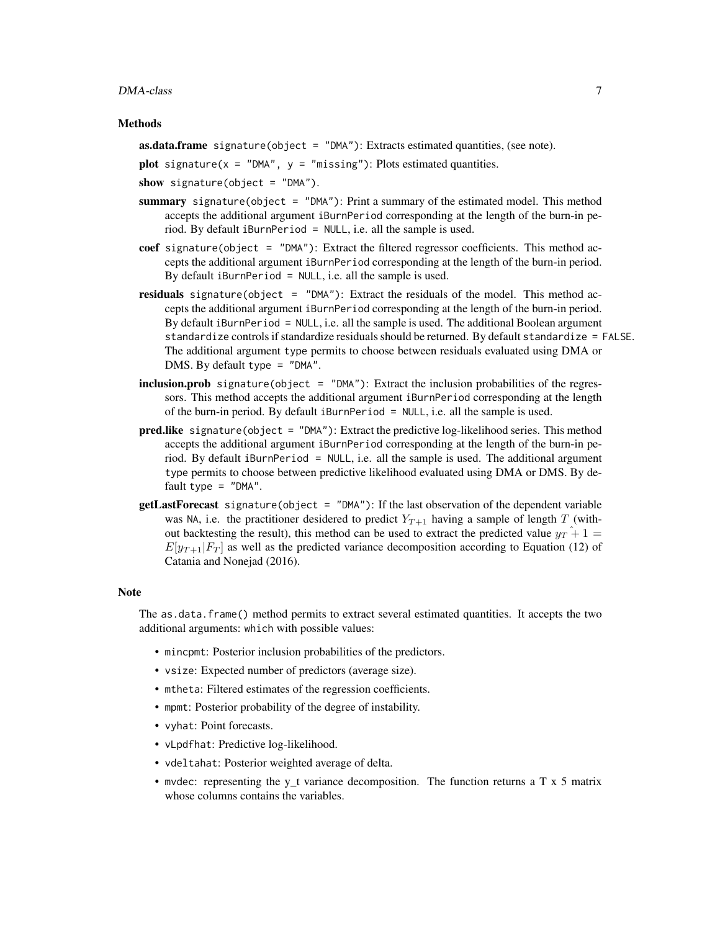#### DMA-class 7

#### Methods

**as.data.frame** signature(object =  $"DMA"$ ): Extracts estimated quantities, (see note).

plot signature( $x =$  "DMA",  $y =$  "missing"): Plots estimated quantities.

show signature(object =  $"DMA"$ ).

- summary signature(object =  $"DMA"$ ): Print a summary of the estimated model. This method accepts the additional argument iBurnPeriod corresponding at the length of the burn-in period. By default iBurnPeriod = NULL, i.e. all the sample is used.
- coef signature(object = "DMA"): Extract the filtered regressor coefficients. This method accepts the additional argument iBurnPeriod corresponding at the length of the burn-in period. By default iBurnPeriod = NULL, i.e. all the sample is used.
- **residuals** signature(object =  $\text{"}$ DMA"): Extract the residuals of the model. This method accepts the additional argument iBurnPeriod corresponding at the length of the burn-in period. By default iBurnPeriod = NULL, i.e. all the sample is used. The additional Boolean argument standardize controls if standardize residuals should be returned. By default standardize = FALSE. The additional argument type permits to choose between residuals evaluated using DMA or DMS. By default type = "DMA".
- inclusion.prob signature(object = "DMA"): Extract the inclusion probabilities of the regressors. This method accepts the additional argument iBurnPeriod corresponding at the length of the burn-in period. By default iBurnPeriod = NULL, i.e. all the sample is used.
- pred.like signature(object = "DMA"): Extract the predictive log-likelihood series. This method accepts the additional argument iBurnPeriod corresponding at the length of the burn-in period. By default iBurnPeriod = NULL, i.e. all the sample is used. The additional argument type permits to choose between predictive likelihood evaluated using DMA or DMS. By default type  $=$  "DMA".
- getLastForecast signature(object = "DMA"): If the last observation of the dependent variable was NA, i.e. the practitioner desidered to predict  $Y_{T+1}$  having a sample of length T (without backtesting the result), this method can be used to extract the predicted value  $y_T + 1 =$  $E[y_{T+1}|F_T]$  as well as the predicted variance decomposition according to Equation (12) of Catania and Nonejad (2016).

#### Note

The as.data.frame() method permits to extract several estimated quantities. It accepts the two additional arguments: which with possible values:

- mincpmt: Posterior inclusion probabilities of the predictors.
- vsize: Expected number of predictors (average size).
- mtheta: Filtered estimates of the regression coefficients.
- mpmt: Posterior probability of the degree of instability.
- vyhat: Point forecasts.
- vLpdfhat: Predictive log-likelihood.
- vdeltahat: Posterior weighted average of delta.
- mvdec: representing the y\_t variance decomposition. The function returns a T x 5 matrix whose columns contains the variables.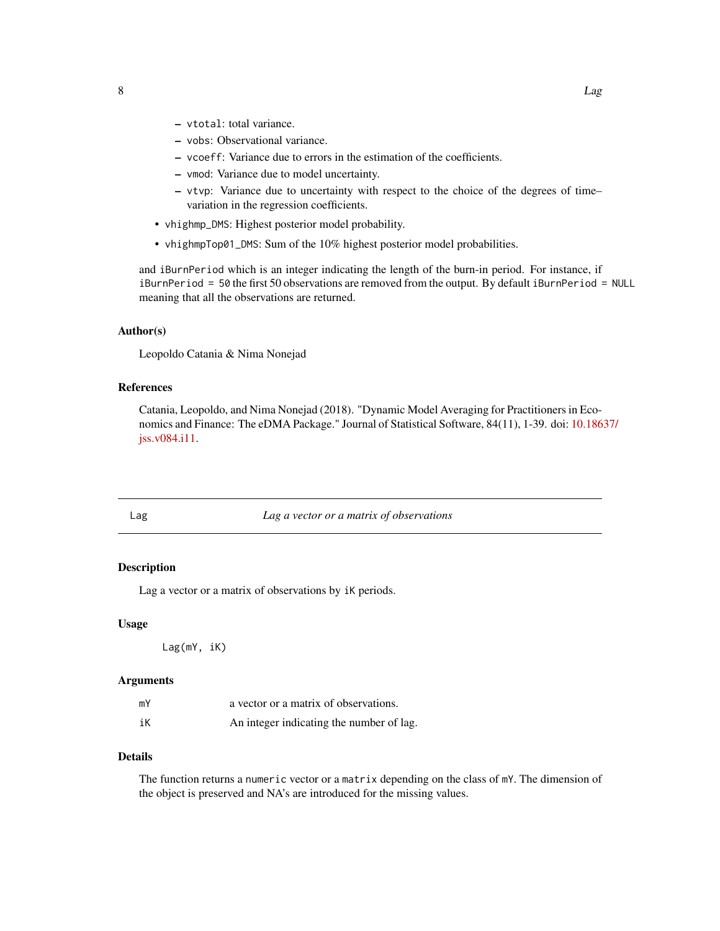- <span id="page-7-0"></span>– vtotal: total variance.
- vobs: Observational variance.
- vcoeff: Variance due to errors in the estimation of the coefficients.
- vmod: Variance due to model uncertainty.
- vtvp: Variance due to uncertainty with respect to the choice of the degrees of time– variation in the regression coefficients.
- vhighmp\_DMS: Highest posterior model probability.
- vhighmpTop01\_DMS: Sum of the 10% highest posterior model probabilities.

and iBurnPeriod which is an integer indicating the length of the burn-in period. For instance, if iBurnPeriod = 50 the first 50 observations are removed from the output. By default iBurnPeriod = NULL meaning that all the observations are returned.

#### Author(s)

Leopoldo Catania & Nima Nonejad

#### References

Catania, Leopoldo, and Nima Nonejad (2018). "Dynamic Model Averaging for Practitioners in Economics and Finance: The eDMA Package." Journal of Statistical Software, 84(11), 1-39. doi: [10.186](http://doi.org/10.18637/jss.v084.i11)37/ [jss.v084.i11.](http://doi.org/10.18637/jss.v084.i11)

#### Lag *Lag a vector or a matrix of observations*

#### Description

Lag a vector or a matrix of observations by iK periods.

#### Usage

Lag(mY, iK)

#### **Arguments**

| mY | a vector or a matrix of observations.    |
|----|------------------------------------------|
| iК | An integer indicating the number of lag. |

#### Details

The function returns a numeric vector or a matrix depending on the class of mY. The dimension of the object is preserved and NA's are introduced for the missing values.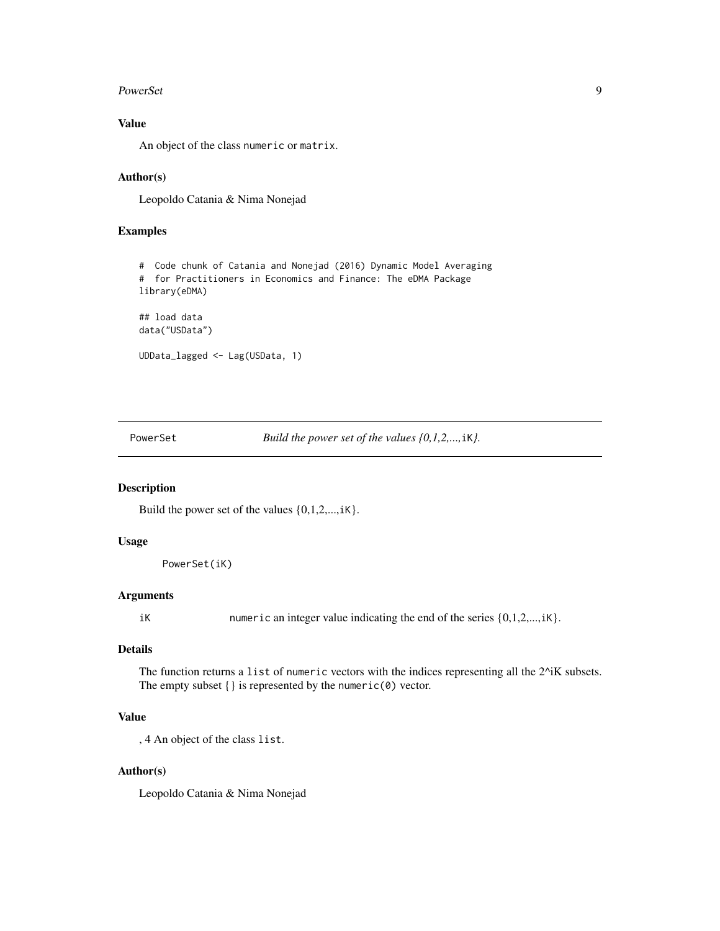#### <span id="page-8-0"></span>PowerSet 99

#### Value

An object of the class numeric or matrix.

#### Author(s)

Leopoldo Catania & Nima Nonejad

#### Examples

```
# Code chunk of Catania and Nonejad (2016) Dynamic Model Averaging
# for Practitioners in Economics and Finance: The eDMA Package
library(eDMA)
## load data
data("USData")
UDData_lagged <- Lag(USData, 1)
```
PowerSet *Build the power set of the values {0,1,2,...,iK}*.

#### Description

Build the power set of the values  $\{0,1,2,...,iK\}$ .

#### Usage

PowerSet(iK)

#### Arguments

iK numeric an integer value indicating the end of the series  $\{0,1,2,...,iK\}$ .

#### Details

The function returns a list of numeric vectors with the indices representing all the 2^iK subsets. The empty subset  $\{\}$  is represented by the numeric( $\emptyset$ ) vector.

#### Value

, 4 An object of the class list.

#### Author(s)

Leopoldo Catania & Nima Nonejad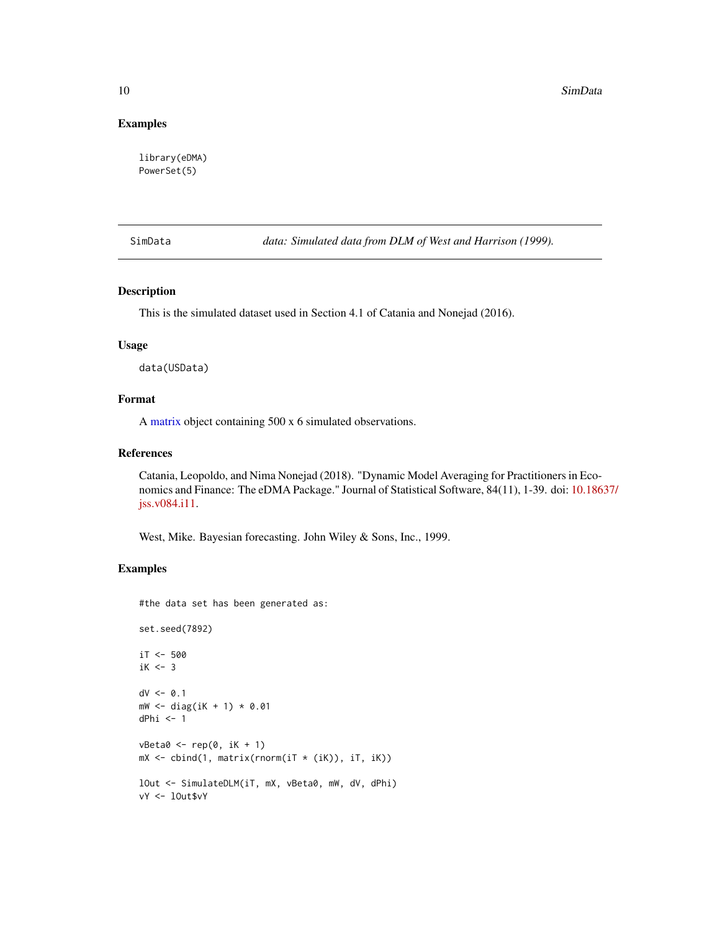#### Examples

library(eDMA) PowerSet(5)

SimData *data: Simulated data from DLM of West and Harrison (1999).*

#### Description

This is the simulated dataset used in Section 4.1 of Catania and Nonejad (2016).

#### Usage

data(USData)

#### Format

A [matrix](#page-0-0) object containing 500 x 6 simulated observations.

#### References

Catania, Leopoldo, and Nima Nonejad (2018). "Dynamic Model Averaging for Practitioners in Economics and Finance: The eDMA Package." Journal of Statistical Software, 84(11), 1-39. doi: [10.186](http://doi.org/10.18637/jss.v084.i11)37/ [jss.v084.i11.](http://doi.org/10.18637/jss.v084.i11)

West, Mike. Bayesian forecasting. John Wiley & Sons, Inc., 1999.

#### Examples

#the data set has been generated as:

```
set.seed(7892)
```

```
iT < -500iK < -3dV <- 0.1
mW < - diag(iK + 1) * 0.01
dPhi <- 1
vBeta@ \leftarrow rep(0, ik + 1)mX \le cbind(1, matrix(rnorm(iT *(iK)), iT, iK))
lOut <- SimulateDLM(iT, mX, vBeta0, mW, dV, dPhi)
vY <- lOut$vY
```
<span id="page-9-0"></span>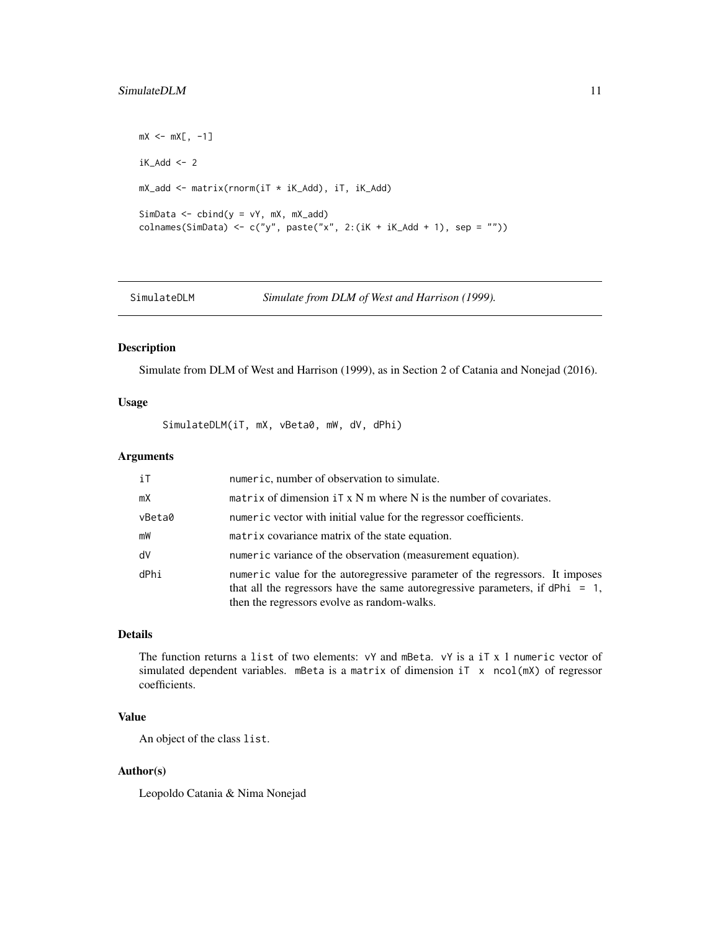#### <span id="page-10-0"></span>SimulateDLM 11

```
mX < -mX[, -1]iK\_Add < -2mX_add <- matrix(rnorm(iT * iK_Add), iT, iK_Add)
SimData \leq cbind(y = vY, mX, mX_add)
colnames(SimData) <- c("y", paste("x", 2:(iK + iK_Add + 1), sep = ""))
```
SimulateDLM *Simulate from DLM of West and Harrison (1999).*

#### Description

Simulate from DLM of West and Harrison (1999), as in Section 2 of Catania and Nonejad (2016).

#### Usage

SimulateDLM(iT, mX, vBeta0, mW, dV, dPhi)

#### Arguments

| iT     | numeric, number of observation to simulate.                                                                                                                                                                     |
|--------|-----------------------------------------------------------------------------------------------------------------------------------------------------------------------------------------------------------------|
| mX     | matrix of dimension $i \in X$ M m where N is the number of covariates.                                                                                                                                          |
| vBeta0 | numeric vector with initial value for the regressor coefficients.                                                                                                                                               |
| mW     | matrix covariance matrix of the state equation.                                                                                                                                                                 |
| dV     | numeric variance of the observation (measurement equation).                                                                                                                                                     |
| dPhi   | numeric value for the autoregressive parameter of the regressors. It imposes<br>that all the regressors have the same autoregressive parameters, if $dPhi = 1$ ,<br>then the regressors evolve as random-walks. |

### Details

The function returns a list of two elements: vY and mBeta. vY is a iT x 1 numeric vector of simulated dependent variables. mBeta is a matrix of dimension iT x ncol(mX) of regressor coefficients.

#### Value

An object of the class list.

#### Author(s)

Leopoldo Catania & Nima Nonejad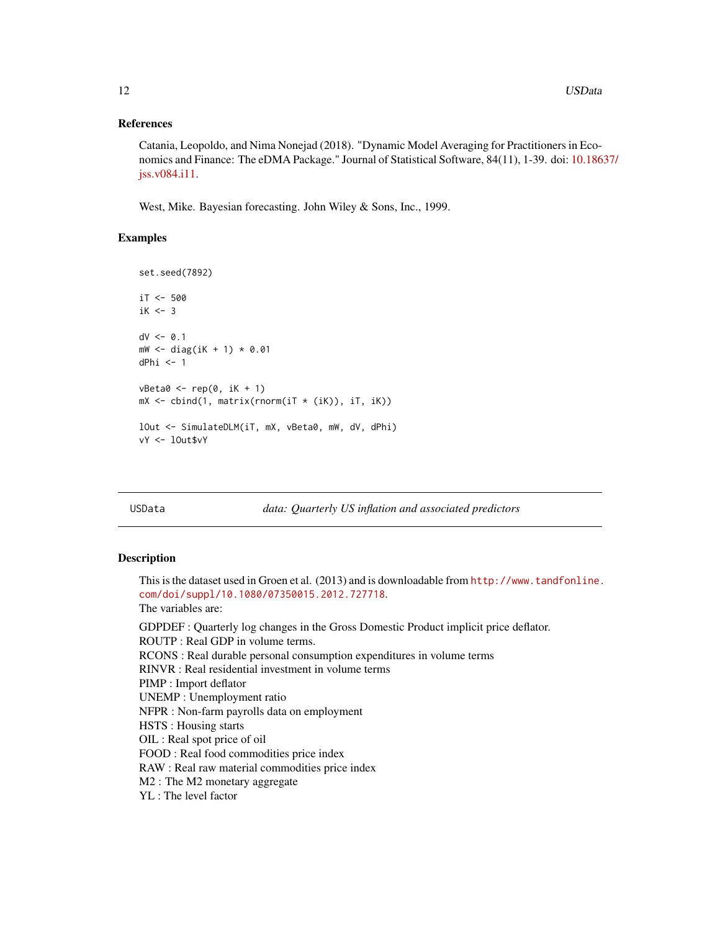#### References

Catania, Leopoldo, and Nima Nonejad (2018). "Dynamic Model Averaging for Practitioners in Economics and Finance: The eDMA Package." Journal of Statistical Software, 84(11), 1-39. doi: [10.186](http://doi.org/10.18637/jss.v084.i11)37/ [jss.v084.i11.](http://doi.org/10.18637/jss.v084.i11)

West, Mike. Bayesian forecasting. John Wiley & Sons, Inc., 1999.

#### Examples

```
set.seed(7892)
iT < -500iK < -3dV < -0.1mW < - diag(iK + 1) * 0.01
dPhi <- 1
vBeta@ \leftarrow rep(0, ik + 1)mX \leftarrow \text{cbind}(1, \text{ matrix}(\text{rnorm}(iT \times (iK)), iT, iK))lOut <- SimulateDLM(iT, mX, vBeta0, mW, dV, dPhi)
vY <- lOut$vY
```
USData *data: Quarterly US inflation and associated predictors*

#### Description

This is the dataset used in Groen et al. (2013) and is downloadable from [http://www.tandfonline.](http://www.tandfonline.com/doi/suppl/10.1080/07350015.2012.727718) [com/doi/suppl/10.1080/07350015.2012.727718](http://www.tandfonline.com/doi/suppl/10.1080/07350015.2012.727718). The variables are: GDPDEF : Quarterly log changes in the Gross Domestic Product implicit price deflator. ROUTP : Real GDP in volume terms. RCONS : Real durable personal consumption expenditures in volume terms RINVR : Real residential investment in volume terms PIMP : Import deflator UNEMP : Unemployment ratio NFPR : Non-farm payrolls data on employment HSTS : Housing starts OIL : Real spot price of oil FOOD : Real food commodities price index RAW : Real raw material commodities price index M2 : The M2 monetary aggregate YL : The level factor

<span id="page-11-0"></span>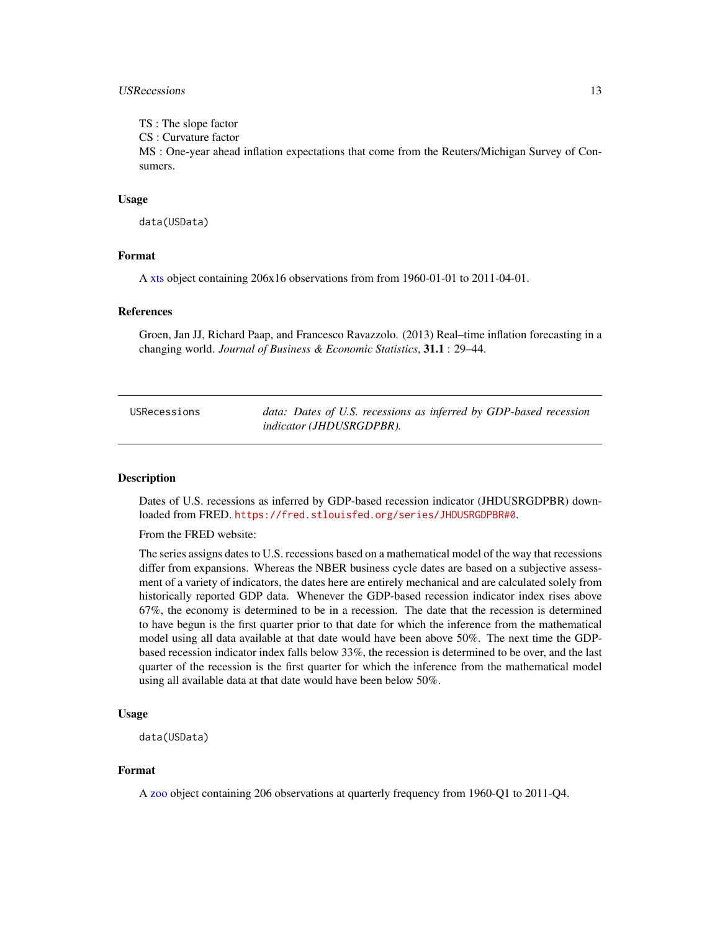#### <span id="page-12-0"></span>USRecessions 13

TS : The slope factor

CS : Curvature factor

MS : One-year ahead inflation expectations that come from the Reuters/Michigan Survey of Consumers.

#### Usage

data(USData)

#### Format

A [xts](#page-0-0) object containing 206x16 observations from from 1960-01-01 to 2011-04-01.

#### References

Groen, Jan JJ, Richard Paap, and Francesco Ravazzolo. (2013) Real–time inflation forecasting in a changing world. *Journal of Business & Economic Statistics*, 31.1 : 29–44.

| USRecessions | data: Dates of U.S. recessions as inferred by GDP-based recession |
|--------------|-------------------------------------------------------------------|
|              | <i>indicator (JHDUSRGDPBR).</i>                                   |

#### Description

Dates of U.S. recessions as inferred by GDP-based recession indicator (JHDUSRGDPBR) downloaded from FRED. <https://fred.stlouisfed.org/series/JHDUSRGDPBR#0>.

From the FRED website:

The series assigns dates to U.S. recessions based on a mathematical model of the way that recessions differ from expansions. Whereas the NBER business cycle dates are based on a subjective assessment of a variety of indicators, the dates here are entirely mechanical and are calculated solely from historically reported GDP data. Whenever the GDP-based recession indicator index rises above 67%, the economy is determined to be in a recession. The date that the recession is determined to have begun is the first quarter prior to that date for which the inference from the mathematical model using all data available at that date would have been above 50%. The next time the GDPbased recession indicator index falls below 33%, the recession is determined to be over, and the last quarter of the recession is the first quarter for which the inference from the mathematical model using all available data at that date would have been below 50%.

#### Usage

data(USData)

#### Format

A [zoo](#page-0-0) object containing 206 observations at quarterly frequency from 1960-Q1 to 2011-Q4.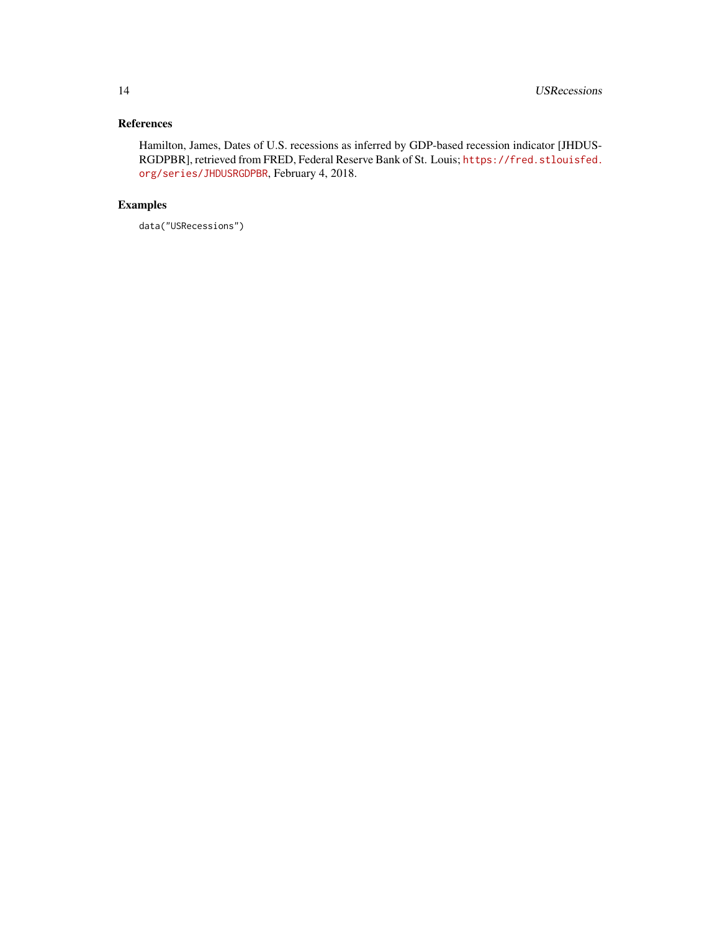### References

Hamilton, James, Dates of U.S. recessions as inferred by GDP-based recession indicator [JHDUS-RGDPBR], retrieved from FRED, Federal Reserve Bank of St. Louis; [https://fred.stlouisfed.](https://fred.stlouisfed.org/series/JHDUSRGDPBR) [org/series/JHDUSRGDPBR](https://fred.stlouisfed.org/series/JHDUSRGDPBR), February 4, 2018.

### Examples

data("USRecessions")